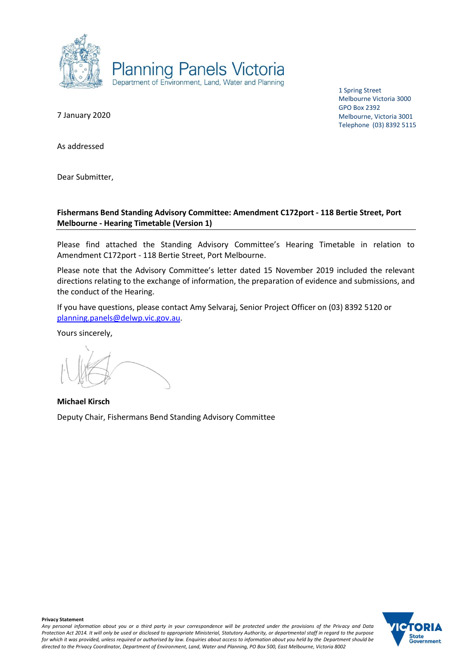

1 Spring Street Melbourne Victoria 3000 GPO Box 2392 Melbourne, Victoria 3001 Telephone (03) 8392 5115

7 January 2020

As addressed

Dear Submitter,

## **Fishermans Bend Standing Advisory Committee: Amendment C172port - 118 Bertie Street, Port Melbourne - Hearing Timetable (Version 1)**

Please find attached the Standing Advisory Committee's Hearing Timetable in relation to Amendment C172port - 118 Bertie Street, Port Melbourne.

Please note that the Advisory Committee's letter dated 15 November 2019 included the relevant directions relating to the exchange of information, the preparation of evidence and submissions, and the conduct of the Hearing.

If you have questions, please contact Amy Selvaraj, Senior Project Officer on (03) 8392 5120 or [planning.panels@delwp.vic.gov.au.](mailto:planning.panels@delwp.vic.gov.au)

Yours sincerely,

**Michael Kirsch** Deputy Chair, Fishermans Bend Standing Advisory Committee

**Privacy Statement** *Any personal information about you or a third party in your correspondence will be protected under the provisions of the Privacy and Data Protection Act 2014. It will only be used or disclosed to appropriate Ministerial, Statutory Authority, or departmental staff in regard to the purpose for which it was provided, unless required or authorised by law. Enquiries about access to information about you held by the Department should be directed to the Privacy Coordinator, Department of Environment, Land, Water and Planning, PO Box 500, East Melbourne, Victoria 8002*

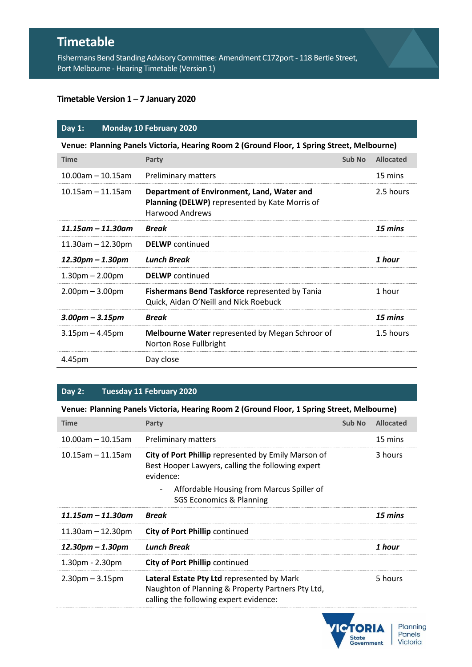# **Timetable**

Fishermans Bend Standing Advisory Committee: Amendment C172port - 118 Bertie Street, Port Melbourne - Hearing Timetable (Version 1)

## **Timetable Version 1 – 7 January 2020**

## **Day 1: Monday 10 February 2020**

| Venue: Planning Panels Victoria, Hearing Room 2 (Ground Floor, 1 Spring Street, Melbourne) |                                                                                                                        |        |                  |  |  |  |
|--------------------------------------------------------------------------------------------|------------------------------------------------------------------------------------------------------------------------|--------|------------------|--|--|--|
| <b>Time</b>                                                                                | Party                                                                                                                  | Sub No | <b>Allocated</b> |  |  |  |
| $10.00$ am – 10.15am                                                                       | <b>Preliminary matters</b>                                                                                             |        | 15 mins          |  |  |  |
| $10.15$ am - 11.15am                                                                       | Department of Environment, Land, Water and<br>Planning (DELWP) represented by Kate Morris of<br><b>Harwood Andrews</b> |        | 2.5 hours        |  |  |  |
| $11.15$ am – $11.30$ am                                                                    | <b>Break</b>                                                                                                           |        | 15 mins          |  |  |  |
| $11.30$ am – 12.30pm                                                                       | <b>DELWP</b> continued                                                                                                 |        |                  |  |  |  |
| $12.30$ pm – $1.30$ pm                                                                     | Lunch Break                                                                                                            |        | 1 hour           |  |  |  |
| $1.30pm - 2.00pm$                                                                          | <b>DELWP</b> continued                                                                                                 |        |                  |  |  |  |
| $2.00pm - 3.00pm$                                                                          | Fishermans Bend Taskforce represented by Tania<br>Quick, Aidan O'Neill and Nick Roebuck                                |        | 1 hour           |  |  |  |
| $3.00$ pm – $3.15$ pm                                                                      | <b>Break</b>                                                                                                           |        | 15 mins          |  |  |  |
| $3.15$ pm – 4.45pm                                                                         | <b>Melbourne Water</b> represented by Megan Schroor of<br>Norton Rose Fullbright                                       |        | 1.5 hours        |  |  |  |
| 4.45pm                                                                                     | Day close                                                                                                              |        |                  |  |  |  |

#### **Day 2: Tuesday 11 February 2020**

## **Venue: Planning Panels Victoria, Hearing Room 2 (Ground Floor, 1 Spring Street, Melbourne)**

| <b>Time</b>             | Party                                                                                                                 | Sub No | <b>Allocated</b> |
|-------------------------|-----------------------------------------------------------------------------------------------------------------------|--------|------------------|
| $10.00$ am - 10.15am    | <b>Preliminary matters</b>                                                                                            |        | 15 mins          |
| $10.15$ am - 11.15am    | City of Port Phillip represented by Emily Marson of<br>Best Hooper Lawyers, calling the following expert<br>evidence: |        | 3 hours          |
|                         | Affordable Housing from Marcus Spiller of<br>$\overline{\phantom{a}}$<br><b>SGS Economics &amp; Planning</b>          |        |                  |
| $11.15$ am – $11.30$ am | <b>Break</b>                                                                                                          |        | 15 mins          |
| $11.30$ am – 12.30pm    | <b>City of Port Phillip continued</b>                                                                                 |        |                  |
| 12.30pm – 1.30pm        | <b>Lunch Break</b>                                                                                                    |        | 1 hour           |
| $1.30pm - 2.30pm$       | <b>City of Port Phillip continued</b>                                                                                 |        |                  |
| $2.30pm - 3.15pm$       | <b>Lateral Estate Pty Ltd</b> represented by Mark                                                                     |        | 5 hours          |

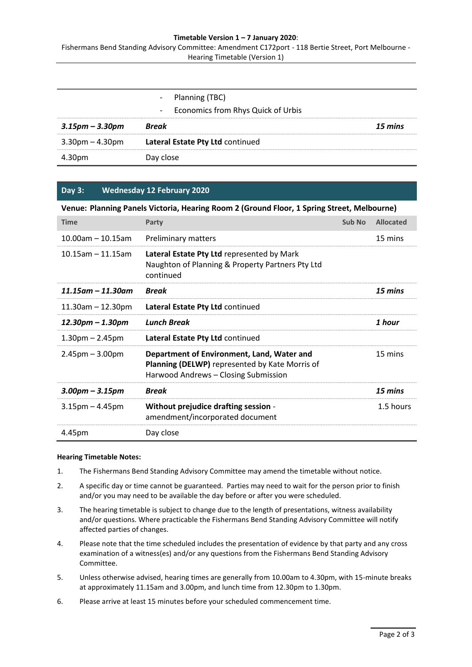#### **Timetable Version 1 – 7 January 2020**:

Fishermans Bend Standing Advisory Committee: Amendment C172port - 118 Bertie Street, Port Melbourne - Hearing Timetable (Version 1)

|                       | - Planning (TBC)                     |         |
|-----------------------|--------------------------------------|---------|
|                       | - Economics from Rhys Quick of Urbis |         |
| $3.15$ pm – $3.30$ pm | Break                                | 15 mins |
| $3.30$ pm – 4.30pm    | Lateral Estate Pty Ltd continued     |         |
| 4.30pm                | Day close                            |         |

#### **Day 3: Wednesday 12 February 2020**

**Venue: Planning Panels Victoria, Hearing Room 2 (Ground Floor, 1 Spring Street, Melbourne)**

| <b>Time</b>             | Party                                                                                                                                       | Sub No | <b>Allocated</b> |
|-------------------------|---------------------------------------------------------------------------------------------------------------------------------------------|--------|------------------|
| $10.00$ am - 10.15am    | <b>Preliminary matters</b>                                                                                                                  |        | 15 mins          |
| $10.15$ am - 11.15am    | Lateral Estate Pty Ltd represented by Mark<br>Naughton of Planning & Property Partners Pty Ltd<br>continued                                 |        |                  |
| $11.15$ am - $11.30$ am | <b>Break</b>                                                                                                                                |        | 15 mins          |
| $11.30$ am $- 12.30$ pm | Lateral Estate Pty Ltd continued                                                                                                            |        |                  |
| 12.30pm – 1.30pm        | <b>Lunch Break</b>                                                                                                                          |        | 1 hour           |
| $1.30pm - 2.45pm$       | Lateral Estate Pty Ltd continued                                                                                                            |        |                  |
| $2.45$ pm $- 3.00$ pm   | Department of Environment, Land, Water and<br><b>Planning (DELWP)</b> represented by Kate Morris of<br>Harwood Andrews - Closing Submission |        | 15 mins          |
| $3.00$ pm – $3.15$ pm   | <b>Break</b>                                                                                                                                |        | 15 mins          |
| $3.15$ pm – 4.45pm      | Without prejudice drafting session -<br>amendment/incorporated document                                                                     |        | 1.5 hours        |
| 4.45pm                  | Day close                                                                                                                                   |        |                  |

#### **Hearing Timetable Notes:**

- 1. The Fishermans Bend Standing Advisory Committee may amend the timetable without notice.
- 2. A specific day or time cannot be guaranteed. Parties may need to wait for the person prior to finish and/or you may need to be available the day before or after you were scheduled.
- 3. The hearing timetable is subject to change due to the length of presentations, witness availability and/or questions. Where practicable the Fishermans Bend Standing Advisory Committee will notify affected parties of changes.
- 4. Please note that the time scheduled includes the presentation of evidence by that party and any cross examination of a witness(es) and/or any questions from the Fishermans Bend Standing Advisory Committee.
- 5. Unless otherwise advised, hearing times are generally from 10.00am to 4.30pm, with 15-minute breaks at approximately 11.15am and 3.00pm, and lunch time from 12.30pm to 1.30pm.
- 6. Please arrive at least 15 minutes before your scheduled commencement time.